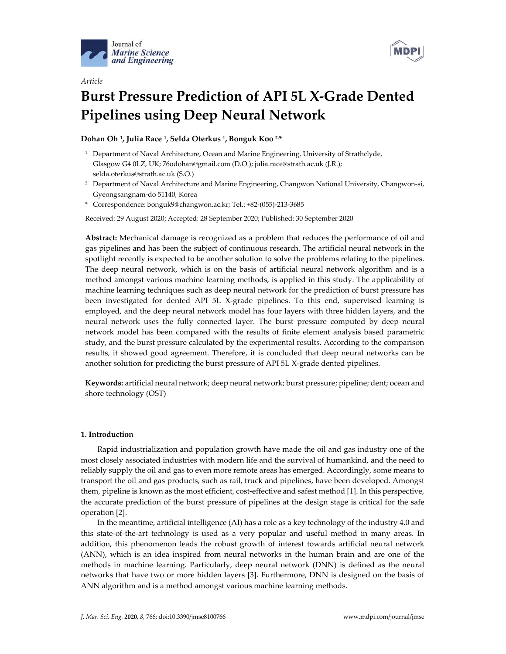

*Article*



# **Burst Pressure Prediction of API 5L X-Grade Dented Pipelines using Deep Neural Network**

**Dohan Oh 1, Julia Race 1, Selda Oterkus 1, Bonguk Koo 2, \***

- <sup>1</sup> Department of Naval Architecture, Ocean and Marine Engineering, University of Strathclyde, Glasgow G4 0LZ, UK; 76odohan@gmail.com (D.O.); julia.race@strath.ac.uk (J.R.); selda.oterkus@strath.ac.uk (S.O.)
- <sup>2</sup> Department of Naval Architecture and Marine Engineering, Changwon National University, Changwon‐si, Gyeongsangnam‐do 51140, Korea
- **\*** Correspondence: bonguk9@changwon.ac.kr; Tel.: +82‐(055)‐213‐3685

Received: 29 August 2020; Accepted: 28 September 2020; Published: 30 September 2020

**Abstract:** Mechanical damage is recognized as a problem that reduces the performance of oil and gas pipelines and has been the subject of continuous research. The artificial neural network in the spotlight recently is expected to be another solution to solve the problems relating to the pipelines. The deep neural network, which is on the basis of artificial neural network algorithm and is a method amongst various machine learning methods, is applied in this study. The applicability of machine learning techniques such as deep neural network for the prediction of burst pressure has been investigated for dented API 5L X‐grade pipelines. To this end, supervised learning is employed, and the deep neural network model has four layers with three hidden layers, and the neural network uses the fully connected layer. The burst pressure computed by deep neural network model has been compared with the results of finite element analysis based parametric study, and the burst pressure calculated by the experimental results. According to the comparison results, it showed good agreement. Therefore, it is concluded that deep neural networks can be another solution for predicting the burst pressure of API 5L X‐grade dented pipelines.

**Keywords:** artificial neural network; deep neural network; burst pressure; pipeline; dent; ocean and shore technology (OST)

## **1. Introduction**

Rapid industrialization and population growth have made the oil and gas industry one of the most closely associated industries with modern life and the survival of humankind, and the need to reliably supply the oil and gas to even more remote areas has emerged. Accordingly, some means to transport the oil and gas products, such as rail, truck and pipelines, have been developed. Amongst them, pipeline is known as the most efficient, cost‐effective and safest method [1]. In this perspective, the accurate prediction of the burst pressure of pipelines at the design stage is critical for the safe operation [2].

In the meantime, artificial intelligence (AI) has a role as a key technology of the industry 4.0 and this state‐of‐the‐art technology is used as a very popular and useful method in many areas. In addition, this phenomenon leads the robust growth of interest towards artificial neural network (ANN), which is an idea inspired from neural networks in the human brain and are one of the methods in machine learning. Particularly, deep neural network (DNN) is defined as the neural networks that have two or more hidden layers [3]. Furthermore, DNN is designed on the basis of ANN algorithm and is a method amongst various machine learning methods.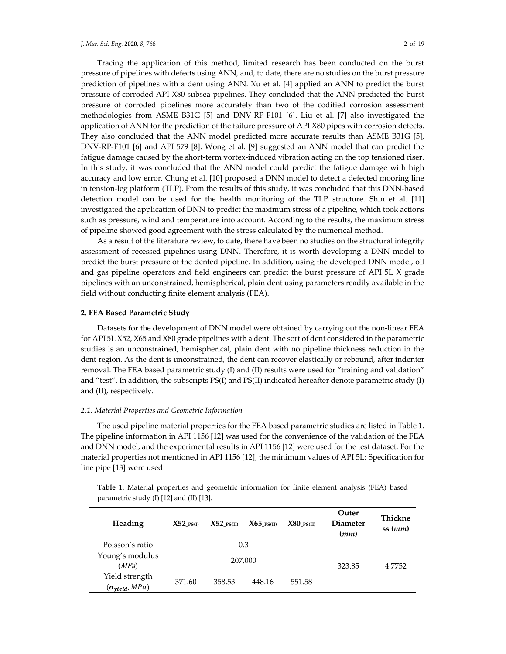Tracing the application of this method, limited research has been conducted on the burst pressure of pipelines with defects using ANN, and, to date, there are no studies on the burst pressure prediction of pipelines with a dent using ANN. Xu et al. [4] applied an ANN to predict the burst pressure of corroded API X80 subsea pipelines. They concluded that the ANN predicted the burst pressure of corroded pipelines more accurately than two of the codified corrosion assessment methodologies from ASME B31G [5] and DNV‐RP‐F101 [6]. Liu et al. [7] also investigated the application of ANN for the prediction of the failure pressure of API X80 pipes with corrosion defects. They also concluded that the ANN model predicted more accurate results than ASME B31G [5], DNV‐RP‐F101 [6] and API 579 [8]. Wong et al. [9] suggested an ANN model that can predict the fatigue damage caused by the short-term vortex-induced vibration acting on the top tensioned riser. In this study, it was concluded that the ANN model could predict the fatigue damage with high accuracy and low error. Chung et al. [10] proposed a DNN model to detect a defected mooring line in tension‐leg platform (TLP). From the results of this study, it was concluded that this DNN‐based detection model can be used for the health monitoring of the TLP structure. Shin et al. [11] investigated the application of DNN to predict the maximum stress of a pipeline, which took actions such as pressure, wind and temperature into account. According to the results, the maximum stress of pipeline showed good agreement with the stress calculated by the numerical method.

As a result of the literature review, to date, there have been no studies on the structural integrity assessment of recessed pipelines using DNN. Therefore, it is worth developing a DNN model to predict the burst pressure of the dented pipeline. In addition, using the developed DNN model, oil and gas pipeline operators and field engineers can predict the burst pressure of API 5L X grade pipelines with an unconstrained, hemispherical, plain dent using parameters readily available in the field without conducting finite element analysis (FEA).

#### **2. FEA Based Parametric Study**

Datasets for the development of DNN model were obtained by carrying out the non‐linear FEA for API 5L X52, X65 and X80 grade pipelines with a dent. The sort of dent considered in the parametric studies is an unconstrained, hemispherical, plain dent with no pipeline thickness reduction in the dent region. As the dent is unconstrained, the dent can recover elastically or rebound, after indenter removal. The FEA based parametric study (I) and (II) results were used for "training and validation" and "test". In addition, the subscripts PS(I) and PS(II) indicated hereafter denote parametric study (I) and (II), respectively.

#### *2.1. Material Properties and Geometric Information*

The used pipeline material properties for the FEA based parametric studies are listed in Table 1. The pipeline information in API 1156 [12] was used for the convenience of the validation of the FEA and DNN model, and the experimental results in API 1156 [12] were used for the test dataset. For the material properties not mentioned in API 1156 [12], the minimum values of API 5L: Specification for line pipe [13] were used.

| <b>Table 1.</b> Material properties and geometric information for finite element analysis (FEA) based |  |  |  |  |  |
|-------------------------------------------------------------------------------------------------------|--|--|--|--|--|
| parametric study $(I)$ [12] and $(II)$ [13].                                                          |  |  |  |  |  |

| Heading                                   | $X52$ PS $n$ | $X52$ $PS(II)$ | $X65$ PS(II) | $X80$ $PS(II)$ | Outer<br><b>Diameter</b><br>(mm) | Thickne<br>ss(mm) |
|-------------------------------------------|--------------|----------------|--------------|----------------|----------------------------------|-------------------|
| Poisson's ratio                           |              | 0.3            |              |                |                                  |                   |
| Young's modulus<br>(MPa)                  |              |                | 207,000      |                | 323.85                           | 4.7752            |
| Yield strength<br>$(\sigma_{yield}, MPa)$ | 371.60       | 358.53         | 448.16       | 551.58         |                                  |                   |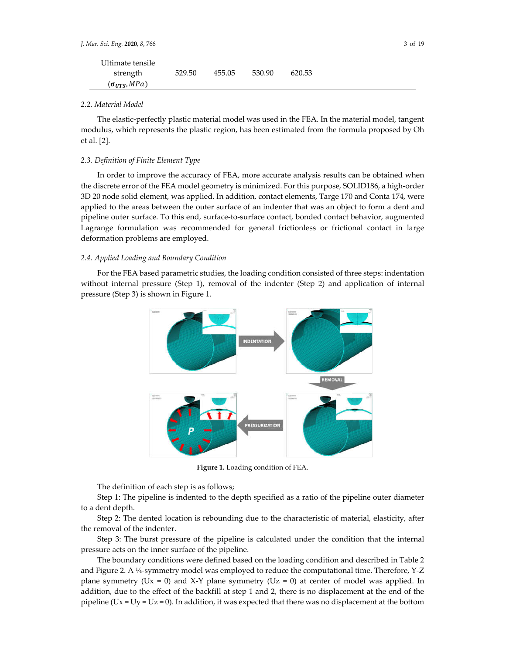| Ultimate tensile      |        |        |        |        |  |
|-----------------------|--------|--------|--------|--------|--|
| strength              | 529.50 | 455.05 | 530.90 | 620.53 |  |
| $(\sigma_{UTS}, MPa)$ |        |        |        |        |  |

## *2.2. Material Model*

The elastic-perfectly plastic material model was used in the FEA. In the material model, tangent modulus, which represents the plastic region, has been estimated from the formula proposed by Oh et al. [2].

#### *2.3. Definition of Finite Element Type*

In order to improve the accuracy of FEA, more accurate analysis results can be obtained when the discrete error of the FEA model geometry is minimized. For this purpose, SOLID186, a high‐order 3D 20 node solid element, was applied. In addition, contact elements, Targe 170 and Conta 174, were applied to the areas between the outer surface of an indenter that was an object to form a dent and pipeline outer surface. To this end, surface-to-surface contact, bonded contact behavior, augmented Lagrange formulation was recommended for general frictionless or frictional contact in large deformation problems are employed.

## *2.4. Applied Loading and Boundary Condition*

For the FEA based parametric studies, the loading condition consisted of three steps: indentation without internal pressure (Step 1), removal of the indenter (Step 2) and application of internal pressure (Step 3) is shown in Figure 1.



**Figure 1.** Loading condition of FEA.

The definition of each step is as follows;

Step 1: The pipeline is indented to the depth specified as a ratio of the pipeline outer diameter to a dent depth.

Step 2: The dented location is rebounding due to the characteristic of material, elasticity, after the removal of the indenter.

Step 3: The burst pressure of the pipeline is calculated under the condition that the internal pressure acts on the inner surface of the pipeline.

The boundary conditions were defined based on the loading condition and described in Table 2 and Figure 2. A ¼-symmetry model was employed to reduce the computational time. Therefore, Y-Z plane symmetry (Ux = 0) and X-Y plane symmetry (Uz = 0) at center of model was applied. In addition, due to the effect of the backfill at step 1 and 2, there is no displacement at the end of the pipeline ( $Ux = Uy = Uz = 0$ ). In addition, it was expected that there was no displacement at the bottom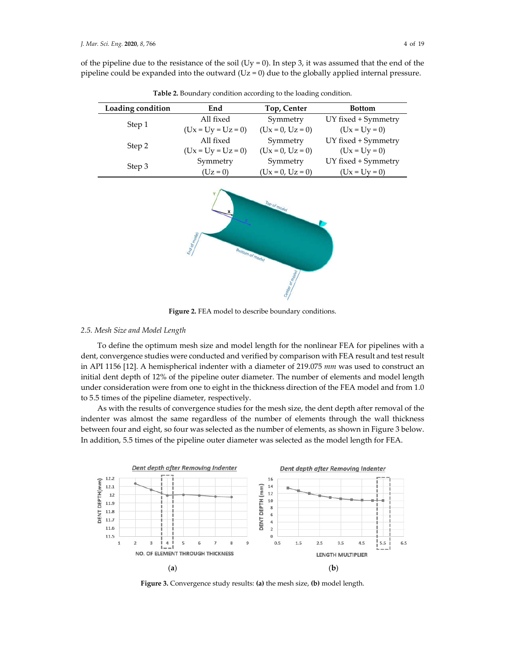of the pipeline due to the resistance of the soil (Uy = 0). In step 3, it was assumed that the end of the pipeline could be expanded into the outward  $(Uz = 0)$  due to the globally applied internal pressure.

| Loading condition | End                  | Top, Center        | <b>Bottom</b>       |
|-------------------|----------------------|--------------------|---------------------|
|                   | All fixed            | Symmetry           | UY fixed + Symmetry |
| Step 1            | $(Ux = Uy = Uz = 0)$ | $(Ux = 0, Uz = 0)$ | $(Ux = Uy = 0)$     |
|                   | All fixed            | Symmetry           | UY fixed + Symmetry |
| Step 2            | $(Ux = Uy = Uz = 0)$ | $(Ux = 0, Uz = 0)$ | $(Ux = Uy = 0)$     |
| Step 3            | Symmetry             | Symmetry           | UY fixed + Symmetry |
|                   | $(Uz = 0)$           | $(Ux = 0, Uz = 0)$ | $(Ux = Uy = 0)$     |

**Table 2.** Boundary condition according to the loading condition.



**Figure 2.** FEA model to describe boundary conditions.

## *2.5. Mesh Size and Model Length*

To define the optimum mesh size and model length for the nonlinear FEA for pipelines with a dent, convergence studies were conducted and verified by comparison with FEA result and testresult in API 1156 [12]. A hemispherical indenter with a diameter of 219.075 *mm* was used to construct an initial dent depth of 12% of the pipeline outer diameter. The number of elements and model length under consideration were from one to eight in the thickness direction of the FEA model and from 1.0 to 5.5 times of the pipeline diameter, respectively.

As with the results of convergence studies for the mesh size, the dent depth after removal of the indenter was almost the same regardless of the number of elements through the wall thickness between four and eight, so four was selected as the number of elements, as shown in Figure 3 below. In addition, 5.5 times of the pipeline outer diameter was selected as the model length for FEA.



**Figure 3.** Convergence study results: **(a)** the mesh size, **(b)** model length.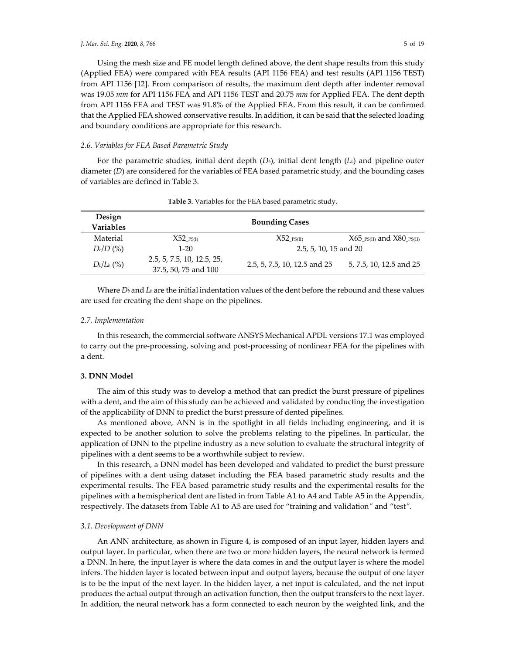Using the mesh size and FE model length defined above, the dent shape results from this study (Applied FEA) were compared with FEA results (API 1156 FEA) and test results (API 1156 TEST) from API 1156 [12]. From comparison of results, the maximum dent depth after indenter removal was 19.05 *mm* for API 1156 FEA and API 1156 TEST and 20.75 *mm* for Applied FEA. The dent depth from API 1156 FEA and TEST was 91.8% of the Applied FEA. From this result, it can be confirmed that the Applied FEA showed conservative results. In addition, it can be said that the selected loading and boundary conditions are appropriate for this research.

#### *2.6. Variables for FEA Based Parametric Study*

For the parametric studies, initial dent depth  $(D<sub>b</sub>)$ , initial dent length  $(L<sub>b</sub>)$  and pipeline outer diameter (*D*) are considered for the variables of FEA based parametric study, and the bounding cases of variables are defined in Table 3.

| Design<br><b>Variables</b> |                                                    | <b>Bounding Cases</b>        |                                                       |
|----------------------------|----------------------------------------------------|------------------------------|-------------------------------------------------------|
| Material                   | $X52$ $PS(I)$                                      | $X52$ $PS(II)$               | $X65$ <sub>_PS(II)</sub> and $X80$ <sub>_PS(II)</sub> |
| $D_b/D$ (%)                | $1-20$                                             | 2.5, 5, 10, 15 and 20        |                                                       |
| $D_b/L_b$ (%)              | 2.5, 5, 7.5, 10, 12.5, 25,<br>37.5, 50, 75 and 100 | 2.5, 5, 7.5, 10, 12.5 and 25 | 5, 7.5, 10, 12.5 and 25                               |

**Table 3.** Variables for the FEA based parametric study.

Where  $D_b$  and  $L_b$  are the initial indentation values of the dent before the rebound and these values are used for creating the dent shape on the pipelines.

#### *2.7. Implementation*

In this research, the commercial software ANSYS Mechanical APDL versions 17.1 was employed to carry out the pre-processing, solving and post-processing of nonlinear FEA for the pipelines with a dent.

## **3. DNN Model**

The aim of this study was to develop a method that can predict the burst pressure of pipelines with a dent, and the aim of this study can be achieved and validated by conducting the investigation of the applicability of DNN to predict the burst pressure of dented pipelines.

As mentioned above, ANN is in the spotlight in all fields including engineering, and it is expected to be another solution to solve the problems relating to the pipelines. In particular, the application of DNN to the pipeline industry as a new solution to evaluate the structural integrity of pipelines with a dent seems to be a worthwhile subject to review.

In this research, a DNN model has been developed and validated to predict the burst pressure of pipelines with a dent using dataset including the FEA based parametric study results and the experimental results. The FEA based parametric study results and the experimental results for the pipelines with a hemispherical dent are listed in from Table A1 to A4 and Table A5 in the Appendix, respectively. The datasets from Table A1 to A5 are used for "training and validation*"* and "test*"*.

#### *3.1. Development of DNN*

An ANN architecture, as shown in Figure 4, is composed of an input layer, hidden layers and output layer. In particular, when there are two or more hidden layers, the neural network is termed a DNN. In here, the input layer is where the data comes in and the output layer is where the model infers. The hidden layer is located between input and output layers, because the output of one layer is to be the input of the next layer. In the hidden layer, a net input is calculated, and the net input produces the actual output through an activation function, then the output transfers to the next layer. In addition, the neural network has a form connected to each neuron by the weighted link, and the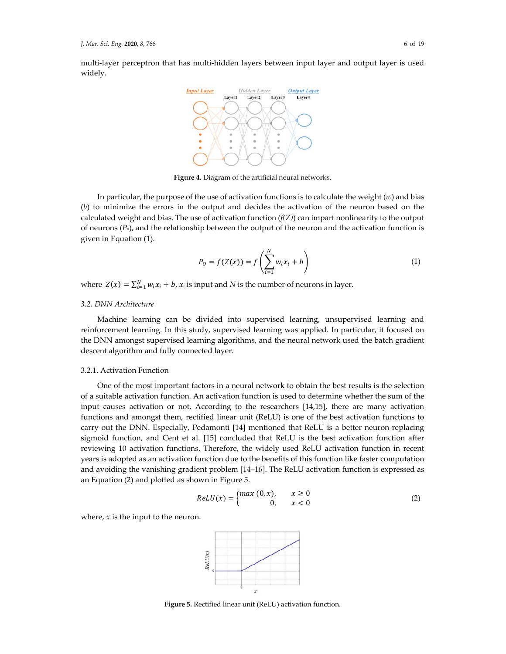multi-layer perceptron that has multi-hidden layers between input layer and output layer is used widely.



**Figure 4.** Diagram of the artificial neural networks.

In particular, the purpose of the use of activation functions is to calculate the weight (*w*) and bias (*b*) to minimize the errors in the output and decides the activation of the neuron based on the calculated weight and bias. The use of activation function  $(f(Z))$  can impart nonlinearity to the output of neurons (*Po*), and the relationship between the output of the neuron and the activation function is given in Equation (1).

$$
P_0 = f(Z(x)) = f\left(\sum_{i=1}^{N} w_i x_i + b\right)
$$
 (1)

where  $Z(x) = \sum_{i=1}^{N} w_i x_i + b$ ,  $x_i$  is input and *N* is the number of neurons in layer.

## *3.2. DNN Architecture*

Machine learning can be divided into supervised learning, unsupervised learning and reinforcement learning. In this study, supervised learning was applied. In particular, it focused on the DNN amongst supervised learning algorithms, and the neural network used the batch gradient descent algorithm and fully connected layer.

#### 3.2.1. Activation Function

One of the most important factors in a neural network to obtain the best results is the selection of a suitable activation function. An activation function is used to determine whether the sum of the input causes activation or not. According to the researchers [14,15], there are many activation functions and amongst them, rectified linear unit (ReLU) is one of the best activation functions to carry out the DNN. Especially, Pedamonti [14] mentioned that ReLU is a better neuron replacing sigmoid function, and Cent et al. [15] concluded that ReLU is the best activation function after reviewing 10 activation functions. Therefore, the widely used ReLU activation function in recent years is adopted as an activation function due to the benefits of this function like faster computation and avoiding the vanishing gradient problem [14–16]. The ReLU activation function is expressed as an Equation (2) and plotted as shown in Figure 5.

$$
ReLU(x) = \begin{cases} max(0, x), & x \ge 0 \\ 0, & x < 0 \end{cases}
$$
 (2)

where, *x* is the input to the neuron.



**Figure 5.** Rectified linear unit (ReLU) activation function.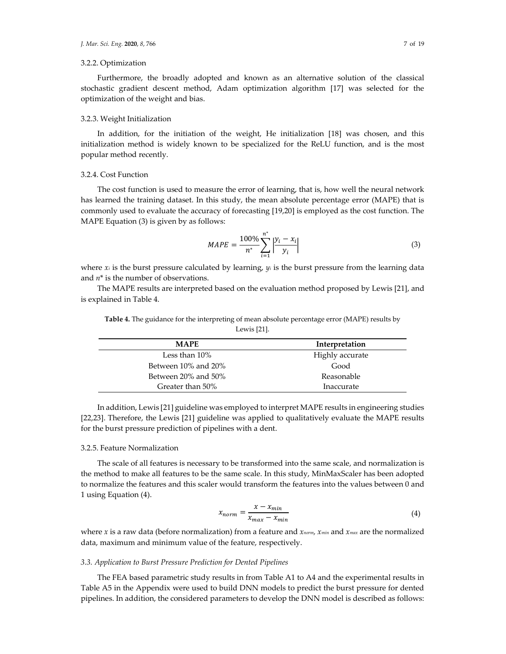## 3.2.2. Optimization

Furthermore, the broadly adopted and known as an alternative solution of the classical stochastic gradient descent method, Adam optimization algorithm [17] was selected for the optimization of the weight and bias.

## 3.2.3. Weight Initialization

In addition, for the initiation of the weight, He initialization [18] was chosen, and this initialization method is widely known to be specialized for the ReLU function, and is the most popular method recently.

#### 3.2.4. Cost Function

The cost function is used to measure the error of learning, that is, how well the neural network has learned the training dataset. In this study, the mean absolute percentage error (MAPE) that is commonly used to evaluate the accuracy of forecasting [19,20] is employed as the cost function. The MAPE Equation (3) is given by as follows:

$$
MAPE = \frac{100\%}{n^*} \sum_{i=1}^{n^*} \left| \frac{y_i - x_i}{y_i} \right| \tag{3}
$$

where  $x_i$  is the burst pressure calculated by learning,  $y_i$  is the burst pressure from the learning data and *n*\* is the number of observations.

The MAPE results are interpreted based on the evaluation method proposed by Lewis [21], and is explained in Table 4.

| <b>MAPE</b>         | Interpretation  |
|---------------------|-----------------|
| Less than $10\%$    | Highly accurate |
| Between 10% and 20% | Good            |
| Between 20% and 50% | Reasonable      |
| Greater than 50%    | Inaccurate      |

**Table 4.** The guidance for the interpreting of mean absolute percentage error (MAPE) results by Lewis [21].

In addition, Lewis [21] guideline was employed to interpret MAPE results in engineering studies [22,23]. Therefore, the Lewis [21] guideline was applied to qualitatively evaluate the MAPE results for the burst pressure prediction of pipelines with a dent.

## 3.2.5. Feature Normalization

The scale of all features is necessary to be transformed into the same scale, and normalization is the method to make all features to be the same scale. In this study, MinMaxScaler has been adopted to normalize the features and this scaler would transform the features into the values between 0 and 1 using Equation (4).

$$
x_{norm} = \frac{x - x_{min}}{x_{max} - x_{min}}\tag{4}
$$

where *x* is a raw data (before normalization) from a feature and *xnorm, xmin* and *xmax* are the normalized data, maximum and minimum value of the feature, respectively.

## *3.3. Application to Burst Pressure Prediction for Dented Pipelines*

The FEA based parametric study results in from Table A1 to A4 and the experimental results in Table A5 in the Appendix were used to build DNN models to predict the burst pressure for dented pipelines. In addition, the considered parameters to develop the DNN model is described as follows: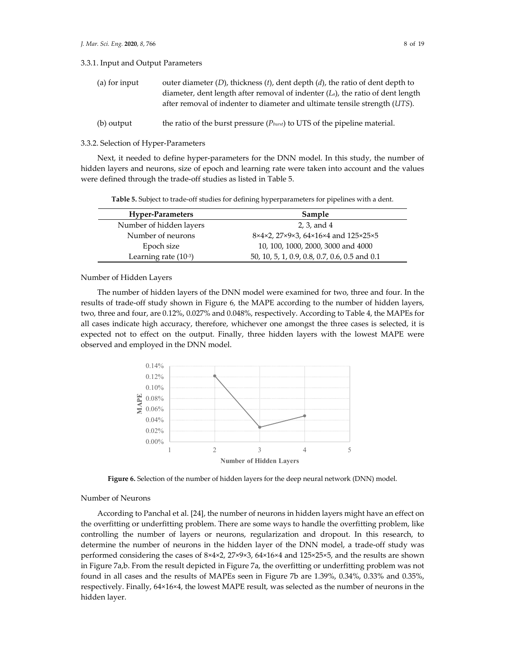3.3.1. Input and Output Parameters

| (a) for input | outer diameter $(D)$ , thickness $(t)$ , dent depth $(d)$ , the ratio of dent depth to |
|---------------|----------------------------------------------------------------------------------------|
|               | diameter, dent length after removal of indenter $(L_a)$ , the ratio of dent length     |
|               | after removal of indenter to diameter and ultimate tensile strength (UTS).             |
|               |                                                                                        |

<sup>(</sup>b) output the ratio of the burst pressure (*Pburst*) to UTS of the pipeline material.

#### 3.3.2. Selection of Hyper‐Parameters

Next, it needed to define hyper-parameters for the DNN model. In this study, the number of hidden layers and neurons, size of epoch and learning rate were taken into account and the values were defined through the trade‐off studies as listed in Table 5.

**Table 5.** Subject to trade‐off studies for defining hyperparameters for pipelines with a dent.

| <b>Hyper-Parameters</b>   | Sample                                        |
|---------------------------|-----------------------------------------------|
| Number of hidden layers   | 2, 3, and 4                                   |
| Number of neurons         | 8×4×2, 27×9×3, 64×16×4 and 125×25×5           |
| Epoch size                | 10, 100, 1000, 2000, 3000 and 4000            |
| Learning rate $(10^{-3})$ | 50, 10, 5, 1, 0.9, 0.8, 0.7, 0.6, 0.5 and 0.1 |

Number of Hidden Layers

The number of hidden layers of the DNN model were examined for two, three and four. In the results of trade‐off study shown in Figure 6, the MAPE according to the number of hidden layers, two, three and four, are 0.12%, 0.027% and 0.048%, respectively. According to Table 4, the MAPEs for all cases indicate high accuracy, therefore, whichever one amongst the three cases is selected, it is expected not to effect on the output. Finally, three hidden layers with the lowest MAPE were observed and employed in the DNN model.



**Figure 6.** Selection of the number of hidden layers for the deep neural network (DNN) model.

## Number of Neurons

According to Panchal et al. [24], the number of neurons in hidden layers might have an effect on the overfitting or underfitting problem. There are some ways to handle the overfitting problem, like controlling the number of layers or neurons, regularization and dropout. In this research, to determine the number of neurons in the hidden layer of the DNN model, a trade‐off study was performed considering the cases of 8×4×2, 27×9×3, 64×16×4 and 125×25×5, and the results are shown in Figure 7a,b. From the result depicted in Figure 7a, the overfitting or underfitting problem was not found in all cases and the results of MAPEs seen in Figure 7b are 1.39%, 0.34%, 0.33% and 0.35%, respectively. Finally, 64×16×4, the lowest MAPE result, was selected as the number of neurons in the hidden layer.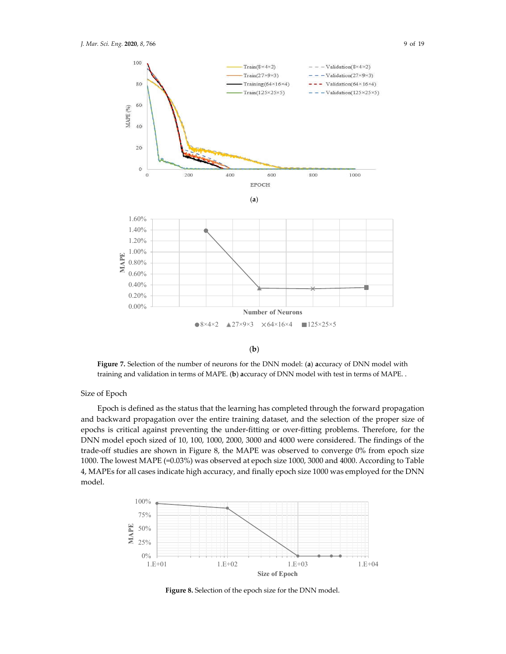

(**b**)

**Figure 7.** Selection of the number of neurons for the DNN model: (**a**) **a**ccuracy of DNN model with training and validation in terms of MAPE. (**b**) **a**ccuracy of DNN model with test in terms of MAPE. .

Size of Epoch

Epoch is defined as the status that the learning has completed through the forward propagation and backward propagation over the entire training dataset, and the selection of the proper size of epochs is critical against preventing the under‐fitting or over‐fitting problems. Therefore, for the DNN model epoch sized of 10, 100, 1000, 2000, 3000 and 4000 were considered. The findings of the trade-off studies are shown in Figure 8, the MAPE was observed to converge 0% from epoch size 1000. The lowest MAPE (=0.03%) was observed at epoch size 1000, 3000 and 4000. According to Table 4, MAPEs for all cases indicate high accuracy, and finally epoch size 1000 was employed for the DNN model.



**Figure 8.** Selection of the epoch size for the DNN model.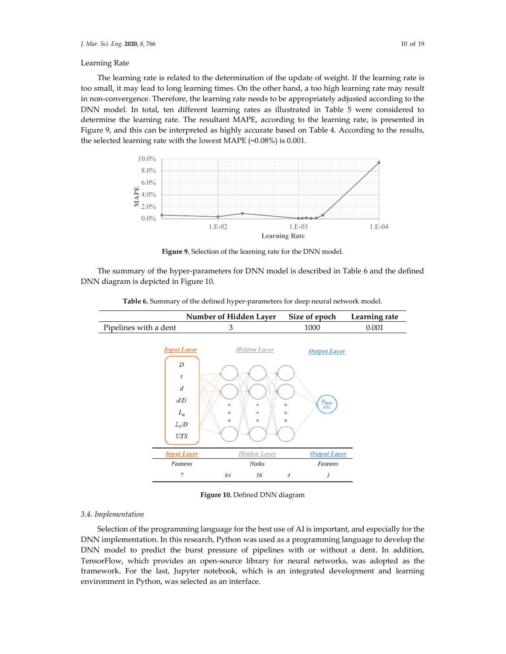## Learning Rate

The learning rate is related to the determination of the update of weight. If the learning rate is too small, it may lead to long learning times. On the other hand, a too high learning rate may result in non‐convergence. Therefore, the learning rate needs to be appropriately adjusted according to the DNN model. In total, ten different learning rates as illustrated in Table 5 were considered to determine the learning rate. The resultant MAPE, according to the learning rate, is presented in Figure 9, and this can be interpreted as highly accurate based on Table 4. According to the results, the selected learning rate with the lowest MAPE (=0.08%) is 0.001.



**Figure 9.** Selection of the learning rate for the DNN model.

The summary of the hyper-parameters for DNN model is described in Table 6 and the defined DNN diagram is depicted in Figure 10.

Table 6. Summary of the defined hyper-parameters for deep neural network model.



**Figure 10.** Defined DNN diagram

#### *3.4. Implementation*

Selection of the programming language for the best use of AI is important, and especially for the DNN implementation. In this research, Python was used as a programming language to develop the DNN model to predict the burst pressure of pipelines with or without a dent. In addition, TensorFlow, which provides an open-source library for neural networks, was adopted as the framework. For the last, Jupyter notebook, which is an integrated development and learning environment in Python, was selected as an interface.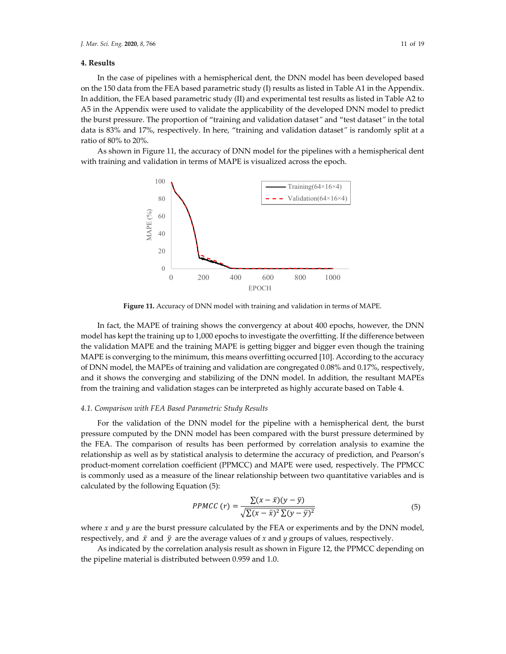## **4. Results**

In the case of pipelines with a hemispherical dent, the DNN model has been developed based on the 150 data from the FEA based parametric study (I) results as listed in Table A1 in the Appendix. In addition, the FEA based parametric study (II) and experimental test results as listed in Table A2 to A5 in the Appendix were used to validate the applicability of the developed DNN model to predict the burst pressure. The proportion of "training and validation dataset*"* and "test dataset*"* in the total data is 83% and 17%, respectively. In here, "training and validation dataset*"* is randomly split at a ratio of 80% to 20%.

As shown in Figure 11, the accuracy of DNN model for the pipelines with a hemispherical dent with training and validation in terms of MAPE is visualized across the epoch.



**Figure 11.** Accuracy of DNN model with training and validation in terms of MAPE.

In fact, the MAPE of training shows the convergency at about 400 epochs, however, the DNN model has kept the training up to 1,000 epochs to investigate the overfitting. If the difference between the validation MAPE and the training MAPE is getting bigger and bigger even though the training MAPE is converging to the minimum, this means overfitting occurred [10]. According to the accuracy of DNN model, the MAPEs of training and validation are congregated 0.08% and 0.17%, respectively, and it shows the converging and stabilizing of the DNN model. In addition, the resultant MAPEs from the training and validation stages can be interpreted as highly accurate based on Table 4.

## *4.1. Comparison with FEA Based Parametric Study Results*

For the validation of the DNN model for the pipeline with a hemispherical dent, the burst pressure computed by the DNN model has been compared with the burst pressure determined by the FEA. The comparison of results has been performed by correlation analysis to examine the relationship as well as by statistical analysis to determine the accuracy of prediction, and Pearson's product-moment correlation coefficient (PPMCC) and MAPE were used, respectively. The PPMCC is commonly used as a measure of the linear relationship between two quantitative variables and is calculated by the following Equation (5):

$$
PPMCC (r) = \frac{\sum (x - \bar{x})(y - \bar{y})}{\sqrt{\sum (x - \bar{x})^2 \sum (y - \bar{y})^2}}
$$
(5)

where  $x$  and  $y$  are the burst pressure calculated by the FEA or experiments and by the DNN model, respectively, and  $\bar{x}$  and  $\bar{y}$  are the average values of *x* and *y* groups of values, respectively.

As indicated by the correlation analysis result as shown in Figure 12, the PPMCC depending on the pipeline material is distributed between 0.959 and 1.0.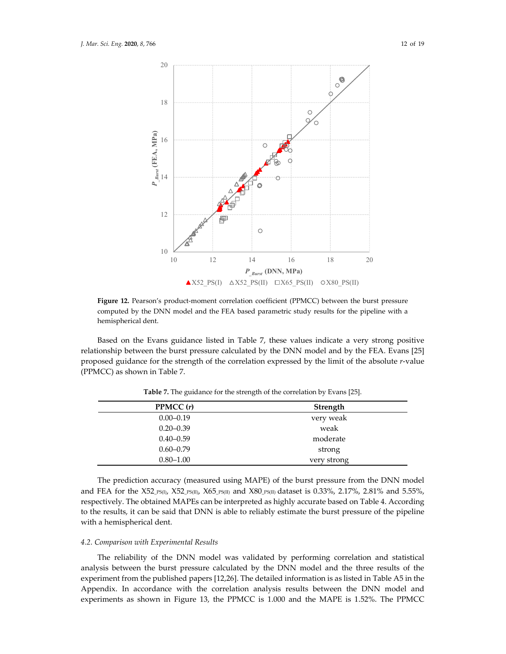

Figure 12. Pearson's product-moment correlation coefficient (PPMCC) between the burst pressure computed by the DNN model and the FEA based parametric study results for the pipeline with a hemispherical dent.

Based on the Evans guidance listed in Table 7, these values indicate a very strong positive relationship between the burst pressure calculated by the DNN model and by the FEA. Evans [25] proposed guidance for the strength of the correlation expressed by the limit of the absolute *r*‐value (PPMCC) as shown in Table 7.

| PPMCC(r)      | Strength    |
|---------------|-------------|
| $0.00 - 0.19$ | very weak   |
| $0.20 - 0.39$ | weak        |
| $0.40 - 0.59$ | moderate    |
| $0.60 - 0.79$ | strong      |
| $0.80 - 1.00$ | very strong |

**Table 7.** The guidance for the strength of the correlation by Evans [25].

The prediction accuracy (measured using MAPE) of the burst pressure from the DNN model and FEA for the X52\_PS(I), X52\_PS(II), X65\_PS(II) and X80\_PS(II) dataset is 0.33%, 2.17%, 2.81% and 5.55%, respectively. The obtained MAPEs can be interpreted as highly accurate based on Table 4. According to the results, it can be said that DNN is able to reliably estimate the burst pressure of the pipeline with a hemispherical dent.

#### *4.2. Comparison with Experimental Results*

The reliability of the DNN model was validated by performing correlation and statistical analysis between the burst pressure calculated by the DNN model and the three results of the experiment from the published papers [12,26]. The detailed information is as listed in Table A5 in the Appendix. In accordance with the correlation analysis results between the DNN model and experiments as shown in Figure 13, the PPMCC is 1.000 and the MAPE is 1.52%. The PPMCC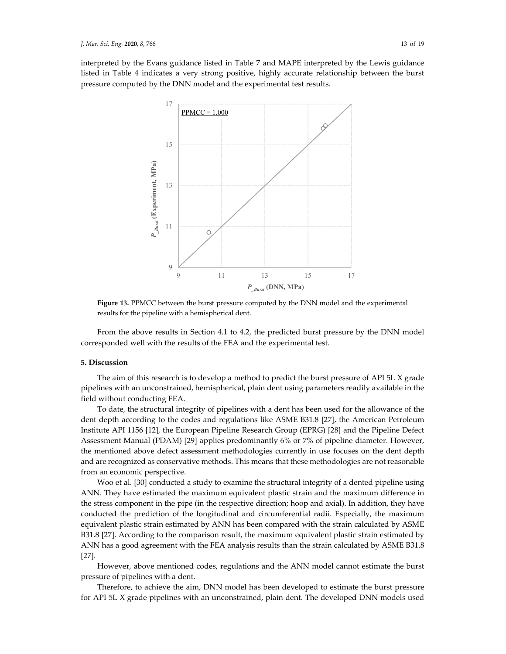interpreted by the Evans guidance listed in Table 7 and MAPE interpreted by the Lewis guidance listed in Table 4 indicates a very strong positive, highly accurate relationship between the burst pressure computed by the DNN model and the experimental test results.



**Figure 13.** PPMCC between the burst pressure computed by the DNN model and the experimental results for the pipeline with a hemispherical dent.

From the above results in Section 4.1 to 4.2, the predicted burst pressure by the DNN model corresponded well with the results of the FEA and the experimental test.

## **5. Discussion**

The aim of this research is to develop a method to predict the burst pressure of API 5L X grade pipelines with an unconstrained, hemispherical, plain dent using parameters readily available in the field without conducting FEA.

To date, the structural integrity of pipelines with a dent has been used for the allowance of the dent depth according to the codes and regulations like ASME B31.8 [27], the American Petroleum Institute API 1156 [12], the European Pipeline Research Group (EPRG) [28] and the Pipeline Defect Assessment Manual (PDAM) [29] applies predominantly 6% or 7% of pipeline diameter. However, the mentioned above defect assessment methodologies currently in use focuses on the dent depth and are recognized as conservative methods. This means that these methodologies are not reasonable from an economic perspective.

Woo et al. [30] conducted a study to examine the structural integrity of a dented pipeline using ANN. They have estimated the maximum equivalent plastic strain and the maximum difference in the stress component in the pipe (in the respective direction; hoop and axial). In addition, they have conducted the prediction of the longitudinal and circumferential radii. Especially, the maximum equivalent plastic strain estimated by ANN has been compared with the strain calculated by ASME B31.8 [27]. According to the comparison result, the maximum equivalent plastic strain estimated by ANN has a good agreement with the FEA analysis results than the strain calculated by ASME B31.8 [27].

However, above mentioned codes, regulations and the ANN model cannot estimate the burst pressure of pipelines with a dent.

Therefore, to achieve the aim, DNN model has been developed to estimate the burst pressure for API 5L X grade pipelines with an unconstrained, plain dent. The developed DNN models used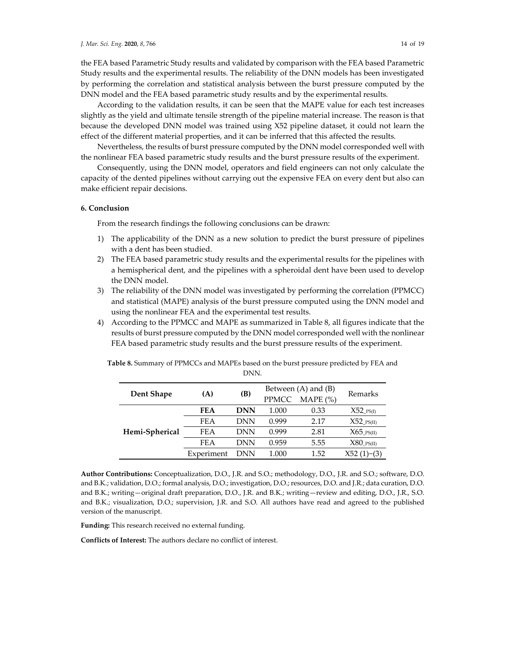the FEA based Parametric Study results and validated by comparison with the FEA based Parametric Study results and the experimental results. The reliability of the DNN models has been investigated by performing the correlation and statistical analysis between the burst pressure computed by the DNN model and the FEA based parametric study results and by the experimental results.

According to the validation results, it can be seen that the MAPE value for each test increases slightly as the yield and ultimate tensile strength of the pipeline material increase. The reason is that because the developed DNN model was trained using X52 pipeline dataset, it could not learn the effect of the different material properties, and it can be inferred that this affected the results.

Nevertheless, the results of burst pressure computed by the DNN model corresponded well with the nonlinear FEA based parametric study results and the burst pressure results of the experiment.

Consequently, using the DNN model, operators and field engineers can not only calculate the capacity of the dented pipelines without carrying out the expensive FEA on every dent but also can make efficient repair decisions.

## **6. Conclusion**

From the research findings the following conclusions can be drawn:

- 1) The applicability of the DNN as a new solution to predict the burst pressure of pipelines with a dent has been studied.
- 2) The FEA based parametric study results and the experimental results for the pipelines with a hemispherical dent, and the pipelines with a spheroidal dent have been used to develop the DNN model.
- 3) The reliability of the DNN model was investigated by performing the correlation (PPMCC) and statistical (MAPE) analysis of the burst pressure computed using the DNN model and using the nonlinear FEA and the experimental test results.
- 4) According to the PPMCC and MAPE as summarized in Table 8, all figures indicate that the results of burst pressure computed by the DNN model corresponded well with the nonlinear FEA based parametric study results and the burst pressure results of the experiment.

|                |            |            | Between $(A)$ and $(B)$ |              |                         |  |
|----------------|------------|------------|-------------------------|--------------|-------------------------|--|
| Dent Shape     | (A)        | (B)        | <b>PPMCC</b>            | MAPE $(\% )$ | Remarks                 |  |
| Hemi-Spherical | FEA        | <b>DNN</b> | 1.000                   | 0.33         | $X52$ <sub>PS(I)</sub>  |  |
|                | <b>FEA</b> | DNN        | 0.999                   | 2.17         | $X52$ <sub>PS(II)</sub> |  |
|                | <b>FEA</b> | DNN        | 0.999                   | 2.81         | $X65$ <sub>PS(II)</sub> |  |
|                | <b>FEA</b> | DNN        | 0.959                   | 5.55         | $X80$ <sub>PS(II)</sub> |  |
|                | Experiment | DNN        | 1.000                   | 1.52         | X52(1)~(3)              |  |

**Table 8.** Summary of PPMCCs and MAPEs based on the burst pressure predicted by FEA and DNN.

**Author Contributions:** Conceptualization, D.O., J.R. and S.O.; methodology, D.O., J.R. and S.O.; software, D.O. and B.K.; validation, D.O.; formal analysis, D.O.; investigation, D.O.; resources, D.O. and J.R.; data curation, D.O. and B.K.; writing—original draft preparation, D.O., J.R. and B.K.; writing—review and editing, D.O., J.R., S.O. and B.K.; visualization, D.O.; supervision, J.R. and S.O. All authors have read and agreed to the published version of the manuscript.

**Funding:** This research received no external funding.

**Conflicts of Interest:** The authors declare no conflict of interest.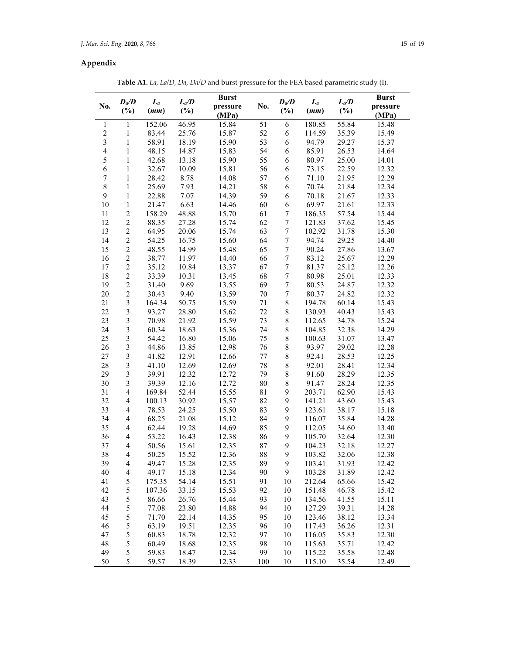## **Appendix**

**Table A1.** *La*, *La/D*, *Da*, *Da/D* and burst pressure for the FEA based parametric study (I).

| No.                     | $D_{\alpha}/D$<br>$(\%)$ | $\boldsymbol{L}_a$<br>(mm) | $L_a/D$<br>$(\%)$ | <b>Burst</b><br>pressure<br>(MPa) | No. | $D_{\alpha}/D$<br>$(\%)$ | $L_a$<br>(mm) | $L_a/D$<br>$(\%)$ | <b>Burst</b><br>pressure<br>(MPa) |
|-------------------------|--------------------------|----------------------------|-------------------|-----------------------------------|-----|--------------------------|---------------|-------------------|-----------------------------------|
| $\mathbf{1}$            | 1                        | 152.06                     | 46.95             | 15.84                             | 51  | 6                        | 180.85        | 55.84             | 15.48                             |
| $\overline{c}$          | $\mathbf{1}$             | 83.44                      | 25.76             | 15.87                             | 52  | 6                        | 114.59        | 35.39             | 15.49                             |
| $\overline{3}$          | $\mathbf{1}$             | 58.91                      | 18.19             | 15.90                             | 53  | 6                        | 94.79         | 29.27             | 15.37                             |
| $\overline{\mathbf{4}}$ | $\mathbf{1}$             | 48.15                      | 14.87             | 15.83                             | 54  | 6                        | 85.91         | 26.53             | 14.64                             |
| 5                       | $\mathbf{1}$             | 42.68                      | 13.18             | 15.90                             | 55  | 6                        | 80.97         | 25.00             | 14.01                             |
| 6                       | $\mathbf{1}$             | 32.67                      | 10.09             | 15.81                             | 56  | 6                        | 73.15         | 22.59             | 12.32                             |
| 7                       | $\mathbf{1}$             | 28.42                      | 8.78              | 14.08                             | 57  | 6                        | 71.10         | 21.95             | 12.29                             |
| $\,$ $\,$               | $\mathbf{1}$             | 25.69                      | 7.93              | 14.21                             | 58  | 6                        | 70.74         | 21.84             | 12.34                             |
| 9                       | $\mathbf{1}$             | 22.88                      | 7.07              | 14.39                             | 59  | 6                        | 70.18         | 21.67             | 12.33                             |
| 10                      | $\mathbf{1}$             | 21.47                      | 6.63              | 14.46                             | 60  | $\epsilon$               | 69.97         | 21.61             | 12.33                             |
| 11                      | $\overline{c}$           | 158.29                     | 48.88             | 15.70                             | 61  | $\boldsymbol{7}$         | 186.35        | 57.54             | 15.44                             |
| 12                      | $\sqrt{2}$               | 88.35                      | 27.28             | 15.74                             | 62  | $\boldsymbol{7}$         | 121.83        | 37.62             | 15.45                             |
| 13                      | $\overline{c}$           | 64.95                      | 20.06             | 15.74                             | 63  | $\boldsymbol{7}$         | 102.92        | 31.78             | 15.30                             |
| 14                      | $\overline{c}$           | 54.25                      | 16.75             | 15.60                             | 64  | $\boldsymbol{7}$         | 94.74         | 29.25             | 14.40                             |
| 15                      | $\overline{c}$           | 48.55                      | 14.99             | 15.48                             | 65  | $\boldsymbol{7}$         | 90.24         | 27.86             | 13.67                             |
| 16                      | $\overline{c}$           | 38.77                      | 11.97             | 14.40                             | 66  | $\boldsymbol{7}$         | 83.12         | 25.67             | 12.29                             |
| 17                      | $\overline{c}$           | 35.12                      | 10.84             | 13.37                             | 67  | $\boldsymbol{7}$         | 81.37         | 25.12             | 12.26                             |
| 18                      | $\overline{c}$           | 33.39                      | 10.31             | 13.45                             | 68  | $\boldsymbol{7}$         | 80.98         | 25.01             | 12.33                             |
| 19                      | $\overline{c}$           | 31.40                      | 9.69              | 13.55                             | 69  | $\boldsymbol{7}$         | 80.53         | 24.87             | 12.32                             |
| 20                      | $\overline{c}$           | 30.43                      | 9.40              | 13.59                             | 70  | $\boldsymbol{7}$         | 80.37         | 24.82             | 12.32                             |
| 21                      | $\overline{\mathbf{3}}$  | 164.34                     | 50.75             | 15.59                             | 71  | $8\,$                    | 194.78        | 60.14             | 15.43                             |
| 22                      | $\overline{\mathbf{3}}$  | 93.27                      | 28.80             | 15.62                             | 72  | $\,$ $\,$                | 130.93        | 40.43             | 15.43                             |
| 23                      | $\overline{\mathbf{3}}$  | 70.98                      | 21.92             | 15.59                             | 73  | $\,$ $\,$                | 112.65        | 34.78             | 15.24                             |
| 24                      | $\overline{\mathbf{3}}$  | 60.34                      | 18.63             | 15.36                             | 74  | $\,$ $\,$                | 104.85        | 32.38             | 14.29                             |
| 25                      | $\overline{\mathbf{3}}$  | 54.42                      | 16.80             | 15.06                             | 75  | 8                        | 100.63        | 31.07             | 13.47                             |
| 26                      | $\overline{\mathbf{3}}$  | 44.86                      | 13.85             | 12.98                             | 76  | $\,$ $\,$                | 93.97         | 29.02             | 12.28                             |
| 27                      | $\overline{\mathbf{3}}$  | 41.82                      | 12.91             | 12.66                             | 77  | $\,$ $\,$                | 92.41         | 28.53             | 12.25                             |
| 28                      | $\overline{\mathbf{3}}$  | 41.10                      | 12.69             | 12.69                             | 78  | $\,8\,$                  | 92.01         | 28.41             | 12.34                             |
| 29                      | $\overline{\mathbf{3}}$  | 39.91                      | 12.32             | 12.72                             | 79  | $\,$ $\,$                | 91.60         | 28.29             | 12.35                             |
| 30                      | 3                        | 39.39                      | 12.16             | 12.72                             | 80  | $\,8\,$                  | 91.47         | 28.24             | 12.35                             |
| 31                      | $\overline{4}$           | 169.84                     | 52.44             | 15.55                             | 81  | 9                        | 203.71        | 62.90             | 15.43                             |
| 32                      | $\overline{4}$           | 100.13                     | 30.92             | 15.57                             | 82  | 9                        | 141.21        | 43.60             | 15.43                             |
| 33                      | $\overline{4}$           | 78.53                      | 24.25             | 15.50                             | 83  | 9                        | 123.61        | 38.17             | 15.18                             |
| 34                      | $\overline{4}$           | 68.25                      | 21.08             | 15.12                             | 84  | 9                        | 116.07        | 35.84             | 14.28                             |
| 35                      | $\overline{4}$           | 62.44                      | 19.28             | 14.69                             | 85  | 9                        | 112.05        | 34.60             | 13.40                             |
| 36                      | $\overline{4}$           | 53.22                      | 16.43             | 12.38                             | 86  | 9                        | 105.70        | 32.64             | 12.30                             |
| 37                      | $\overline{4}$           | 50.56                      | 15.61             | 12.35                             | 87  | 9                        | 104.23        | 32.18             | 12.27                             |
| 38                      | $\overline{4}$           | 50.25                      | 15.52             | 12.36                             | 88  | 9                        | 103.82        | 32.06             | 12.38                             |
| 39                      | $\overline{\mathcal{L}}$ | 49.47                      | 15.28             | 12.35                             | 89  | 9                        | 103.41        | 31.93             | 12.42                             |
| 40                      | $\overline{\mathcal{L}}$ | 49.17                      | 15.18             | 12.34                             | 90  | 9                        | 103.28        | 31.89             | 12.42                             |
| 41                      | 5                        | 175.35                     | 54.14             | 15.51                             | 91  | 10                       | 212.64        | 65.66             | 15.42                             |
| 42                      | 5                        | 107.36                     | 33.15             | 15.53                             | 92  | 10                       | 151.48        | 46.78             | 15.42                             |
| 43                      | 5                        | 86.66                      | 26.76             | 15.44                             | 93  | 10                       | 134.56        | 41.55             | 15.11                             |
| 44                      | 5                        | 77.08                      | 23.80             | 14.88                             | 94  | 10                       | 127.29        | 39.31             | 14.28                             |
| 45                      | 5                        | 71.70                      | 22.14             | 14.35                             | 95  | 10                       | 123.46        | 38.12             | 13.34                             |
| 46                      | 5                        | 63.19                      | 19.51             | 12.35                             | 96  | 10                       | 117.43        | 36.26             | 12.31                             |
| 47                      | 5                        | 60.83                      | 18.78             | 12.32                             | 97  | 10                       | 116.05        | 35.83             | 12.30                             |
| 48                      | 5                        | 60.49                      | 18.68             | 12.35                             | 98  | 10                       | 115.63        | 35.71             | 12.42                             |
| 49                      | 5                        | 59.83                      | 18.47             | 12.34                             | 99  | 10                       | 115.22        | 35.58             | 12.48                             |
| 50                      | 5                        | 59.57                      | 18.39             | 12.33                             | 100 | 10                       | 115.10        | 35.54             | 12.49                             |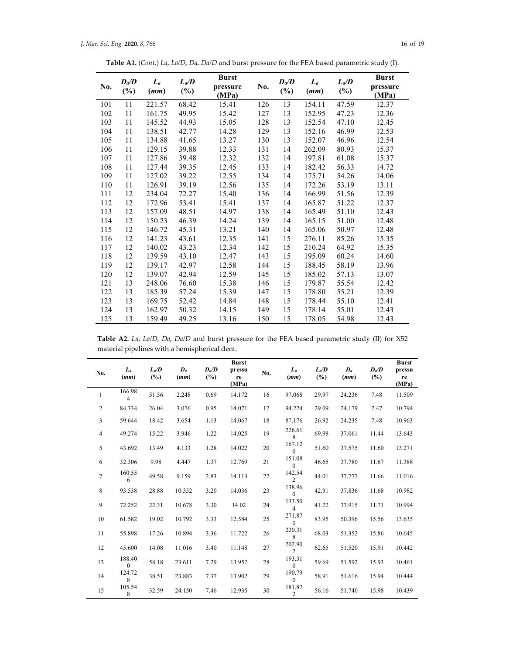**Table A1.** (*Cont.*) *La*, *La/D*, *Da*, *Da/D* and burst pressure for the FEA based parametric study (I).

| No. | $\bm{D}_{\alpha}$<br>$(\%)$ | $\boldsymbol{L}_a$<br>(mm) | $L_a/D$<br>$(\%)$ | <b>Burst</b><br>pressure<br>(MPa) | No. | $D_{\alpha}/D$<br>$(\%)$ | $\boldsymbol{L}_a$<br>(mm) | $L_a/D$<br>$(\%)$ | <b>Burst</b><br>pressure<br>(MPa) |
|-----|-----------------------------|----------------------------|-------------------|-----------------------------------|-----|--------------------------|----------------------------|-------------------|-----------------------------------|
| 101 | 11                          | 221.57                     | 68.42             | 15.41                             | 126 | 13                       | 154.11                     | 47.59             | 12.37                             |
| 102 | 11                          | 161.75                     | 49.95             | 15.42                             | 127 | 13                       | 152.95                     | 47.23             | 12.36                             |
| 103 | 11                          | 145.52                     | 44.93             | 15.05                             | 128 | 13                       | 152.54                     | 47.10             | 12.45                             |
| 104 | 11                          | 138.51                     | 42.77             | 14.28                             | 129 | 13                       | 152.16                     | 46.99             | 12.53                             |
| 105 | 11                          | 134.88                     | 41.65             | 13.27                             | 130 | 13                       | 152.07                     | 46.96             | 12.54                             |
| 106 | 11                          | 129.15                     | 39.88             | 12.33                             | 131 | 14                       | 262.09                     | 80.93             | 15.37                             |
| 107 | 11                          | 127.86                     | 39.48             | 12.32                             | 132 | 14                       | 197.81                     | 61.08             | 15.37                             |
| 108 | 11                          | 127.44                     | 39.35             | 12.45                             | 133 | 14                       | 182.42                     | 56.33             | 14.72                             |
| 109 | 11                          | 127.02                     | 39.22             | 12.55                             | 134 | 14                       | 175.71                     | 54.26             | 14.06                             |
| 110 | 11                          | 126.91                     | 39.19             | 12.56                             | 135 | 14                       | 172.26                     | 53.19             | 13.11                             |
| 111 | 12                          | 234.04                     | 72.27             | 15.40                             | 136 | 14                       | 166.99                     | 51.56             | 12.39                             |
| 112 | 12                          | 172.96                     | 53.41             | 15.41                             | 137 | 14                       | 165.87                     | 51.22             | 12.37                             |
| 113 | 12                          | 157.09                     | 48.51             | 14.97                             | 138 | 14                       | 165.49                     | 51.10             | 12.43                             |
| 114 | 12                          | 150.23                     | 46.39             | 14.24                             | 139 | 14                       | 165.15                     | 51.00             | 12.48                             |
| 115 | 12                          | 146.72                     | 45.31             | 13.21                             | 140 | 14                       | 165.06                     | 50.97             | 12.48                             |
| 116 | 12                          | 141.23                     | 43.61             | 12.35                             | 141 | 15                       | 276.11                     | 85.26             | 15.35                             |
| 117 | 12                          | 140.02                     | 43.23             | 12.34                             | 142 | 15                       | 210.24                     | 64.92             | 15.35                             |
| 118 | 12                          | 139.59                     | 43.10             | 12.47                             | 143 | 15                       | 195.09                     | 60.24             | 14.60                             |
| 119 | 12                          | 139.17                     | 42.97             | 12.58                             | 144 | 15                       | 188.45                     | 58.19             | 13.96                             |
| 120 | 12                          | 139.07                     | 42.94             | 12.59                             | 145 | 15                       | 185.02                     | 57.13             | 13.07                             |
| 121 | 13                          | 248.06                     | 76.60             | 15.38                             | 146 | 15                       | 179.87                     | 55.54             | 12.42                             |
| 122 | 13                          | 185.39                     | 57.24             | 15.39                             | 147 | 15                       | 178.80                     | 55.21             | 12.39                             |
| 123 | 13                          | 169.75                     | 52.42             | 14.84                             | 148 | 15                       | 178.44                     | 55.10             | 12.41                             |
| 124 | 13                          | 162.97                     | 50.32             | 14.15                             | 149 | 15                       | 178.14                     | 55.01             | 12.43                             |
| 125 | 13                          | 159.49                     | 49.25             | 13.16                             | 150 | 15                       | 178.05                     | 54.98             | 12.43                             |

**Table A2.** *La*, *La/D*, *Da*, *Da/D* and burst pressure for the FEA based parametric study (II) for X52 material pipelines with a hemispherical dent.

| No.            | $L_a$<br>(mm)      | $L_a/D$<br>$(\%)$ | $\mathbf{D}_a$<br>(mm) | $D_a/D$<br>$(\%)$ | <b>Burst</b><br>pressu<br>re<br>(MPa) | No. | $L_a$<br>(mm)            | $L_a/D$<br>(%) | $\boldsymbol{D}_a$<br>(mm) | $D_a/D$<br>(%) | <b>Burst</b><br>pressu<br>re<br>(MPa) |
|----------------|--------------------|-------------------|------------------------|-------------------|---------------------------------------|-----|--------------------------|----------------|----------------------------|----------------|---------------------------------------|
| $\mathbf{1}$   | 166.98<br>4        | 51.56             | 2.248                  | 0.69              | 14.172                                | 16  | 97.068                   | 29.97          | 24.236                     | 7.48           | 11.509                                |
| 2              | 84.334             | 26.04             | 3.076                  | 0.95              | 14.071                                | 17  | 94.224                   | 29.09          | 24.179                     | 7.47           | 10.794                                |
| 3              | 59.644             | 18.42             | 3.654                  | 1.13              | 14.067                                | 18  | 87.176                   | 26.92          | 24.235                     | 7.48           | 10.963                                |
| 4              | 49.274             | 15.22             | 3.946                  | 1.22              | 14.025                                | 19  | 226.61<br>8              | 69.98          | 37.061                     | 11.44          | 13.643                                |
| 5              | 43.692             | 13.49             | 4.133                  | 1.28              | 14.022                                | 20  | 167.12<br>$\theta$       | 51.60          | 37.575                     | 11.60          | 13.271                                |
| 6              | 32.306             | 9.98              | 4.447                  | 1.37              | 12.769                                | 21  | 151.08<br>$\theta$       | 46.65          | 37.780                     | 11.67          | 11.388                                |
| $\overline{7}$ | 160.55<br>6        | 49.58             | 9.159                  | 2.83              | 14.113                                | 22  | 142.54<br>$\overline{2}$ | 44.01          | 37.777                     | 11.66          | 11.016                                |
| 8              | 93.538             | 28.88             | 10.352                 | 3.20              | 14.036                                | 23  | 138.96<br>$\theta$       | 42.91          | 37.836                     | 11.68          | 10.982                                |
| 9              | 72.252             | 22.31             | 10.678                 | 3.30              | 14.02                                 | 24  | 133.50<br>4              | 41.22          | 37.915                     | 11.71          | 10.994                                |
| 10             | 61.582             | 19.02             | 10.792                 | 3.33              | 12.584                                | 25  | 271.87<br>$\theta$       | 83.95          | 50.396                     | 15.56          | 13.635                                |
| 11             | 55.898             | 17.26             | 10.894                 | 3.36              | 11.722                                | 26  | 220.31<br>8              | 68.03          | 51.352                     | 15.86          | 10.645                                |
| 12             | 45.600             | 14.08             | 11.016                 | 3.40              | 11.148                                | 27  | 202.90<br>2              | 62.65          | 51.520                     | 15.91          | 10.442                                |
| 13             | 188.40<br>$\theta$ | 58.18             | 23.611                 | 7.29              | 13.952                                | 28  | 193.31<br>$\theta$       | 59.69          | 51.592                     | 15.93          | 10.461                                |
| 14             | 124.72<br>8        | 38.51             | 23.883                 | 7.37              | 13.902                                | 29  | 190.79<br>$\theta$       | 58.91          | 51.616                     | 15.94          | 10.444                                |
| 15             | 105.54<br>8        | 32.59             | 24.150                 | 7.46              | 12.935                                | 30  | 181.87<br>$\overline{2}$ | 56.16          | 51.740                     | 15.98          | 10.439                                |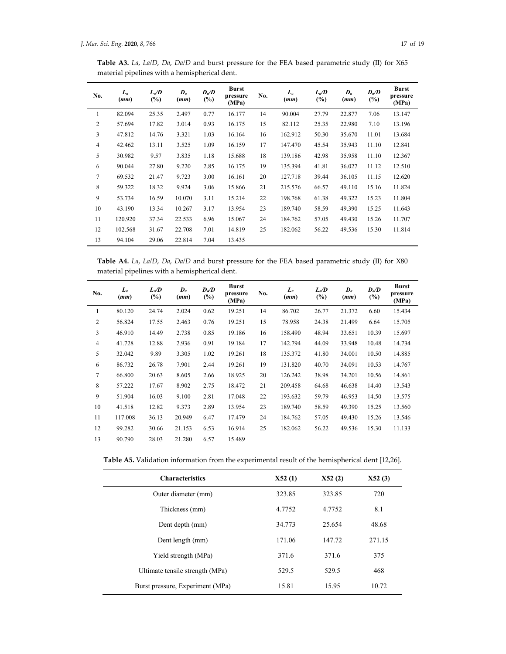**Table A3.** *La*, *La/D*, *Da*, *Da/D* and burst pressure for the FEA based parametric study (II) for X65 material pipelines with a hemispherical dent.

| No.            | $L_a$<br>(mm) | $L_a/D$<br>$(\%)$ | $\boldsymbol{D}_a$<br>(mm) | $\mathbf{D} \mathbf{D}$<br>$(\%)$ | <b>Burst</b><br>pressure<br>(MPa) | No. | $L_a$<br>(mm) | $L_a/D$<br>(%) | $\boldsymbol{D}_a$<br>(mm) | $D_{\alpha}$<br>$(\%)$ | <b>Burst</b><br>pressure<br>(MPa) |
|----------------|---------------|-------------------|----------------------------|-----------------------------------|-----------------------------------|-----|---------------|----------------|----------------------------|------------------------|-----------------------------------|
| 1              | 82.094        | 25.35             | 2.497                      | 0.77                              | 16.177                            | 14  | 90.004        | 27.79          | 22.877                     | 7.06                   | 13.147                            |
| 2              | 57.694        | 17.82             | 3.014                      | 0.93                              | 16.175                            | 15  | 82.112        | 25.35          | 22.980                     | 7.10                   | 13.196                            |
| 3              | 47.812        | 14.76             | 3.321                      | 1.03                              | 16.164                            | 16  | 162.912       | 50.30          | 35.670                     | 11.01                  | 13.684                            |
| $\overline{4}$ | 42.462        | 13.11             | 3.525                      | 1.09                              | 16.159                            | 17  | 147.470       | 45.54          | 35.943                     | 11.10                  | 12.841                            |
| 5              | 30.982        | 9.57              | 3.835                      | 1.18                              | 15.688                            | 18  | 139.186       | 42.98          | 35.958                     | 11.10                  | 12.367                            |
| 6              | 90.044        | 27.80             | 9.220                      | 2.85                              | 16.175                            | 19  | 135.394       | 41.81          | 36.027                     | 11.12                  | 12.510                            |
| 7              | 69.532        | 21.47             | 9.723                      | 3.00                              | 16.161                            | 20  | 127.718       | 39.44          | 36.105                     | 11.15                  | 12.620                            |
| 8              | 59.322        | 18.32             | 9.924                      | 3.06                              | 15.866                            | 21  | 215.576       | 66.57          | 49.110                     | 15.16                  | 11.824                            |
| 9              | 53.734        | 16.59             | 10.070                     | 3.11                              | 15.214                            | 22  | 198.768       | 61.38          | 49.322                     | 15.23                  | 11.804                            |
| 10             | 43.190        | 13.34             | 10.267                     | 3.17                              | 13.954                            | 23  | 189.740       | 58.59          | 49.390                     | 15.25                  | 11.643                            |
| 11             | 120.920       | 37.34             | 22.533                     | 6.96                              | 15.067                            | 24  | 184.762       | 57.05          | 49.430                     | 15.26                  | 11.707                            |
| 12             | 102.568       | 31.67             | 22.708                     | 7.01                              | 14.819                            | 25  | 182.062       | 56.22          | 49.536                     | 15.30                  | 11.814                            |
| 13             | 94.104        | 29.06             | 22.814                     | 7.04                              | 13.435                            |     |               |                |                            |                        |                                   |

**Table A4.** *La*, *La/D*, *Da*, *Da/D* and burst pressure for the FEA based parametric study (II) for X80 material pipelines with a hemispherical dent.

| No.            | $L_a$<br>(mm) | $L_a/D$<br>$(\%)$ | $\boldsymbol{D}_a$<br>(mm) | $D_{\alpha}/D$<br>$(\%)$ | <b>Burst</b><br>pressure<br>(MPa) | No. | $L_a$<br>(mm) | $L_a/D$<br>$(\%)$ | $\boldsymbol{D}_a$<br>(mm) | $D_{\alpha}/D$<br>$(\%)$ | <b>Burst</b><br>pressure<br>(MPa) |
|----------------|---------------|-------------------|----------------------------|--------------------------|-----------------------------------|-----|---------------|-------------------|----------------------------|--------------------------|-----------------------------------|
| 1              | 80.120        | 24.74             | 2.024                      | 0.62                     | 19.251                            | 14  | 86.702        | 26.77             | 21.372                     | 6.60                     | 15.434                            |
| $\mathfrak{2}$ | 56.824        | 17.55             | 2.463                      | 0.76                     | 19.251                            | 15  | 78.958        | 24.38             | 21.499                     | 6.64                     | 15.705                            |
| 3              | 46.910        | 14.49             | 2.738                      | 0.85                     | 19.186                            | 16  | 158.490       | 48.94             | 33.651                     | 10.39                    | 15.697                            |
| 4              | 41.728        | 12.88             | 2.936                      | 0.91                     | 19.184                            | 17  | 142.794       | 44.09             | 33.948                     | 10.48                    | 14.734                            |
| 5              | 32.042        | 9.89              | 3.305                      | 1.02                     | 19.261                            | 18  | 135.372       | 41.80             | 34.001                     | 10.50                    | 14.885                            |
| 6              | 86.732        | 26.78             | 7.901                      | 2.44                     | 19.261                            | 19  | 131.820       | 40.70             | 34.091                     | 10.53                    | 14.767                            |
| $\overline{7}$ | 66.800        | 20.63             | 8.605                      | 2.66                     | 18.925                            | 20  | 126.242       | 38.98             | 34.201                     | 10.56                    | 14.861                            |
| 8              | 57.222        | 17.67             | 8.902                      | 2.75                     | 18.472                            | 21  | 209.458       | 64.68             | 46.638                     | 14.40                    | 13.543                            |
| 9              | 51.904        | 16.03             | 9.100                      | 2.81                     | 17.048                            | 22  | 193.632       | 59.79             | 46.953                     | 14.50                    | 13.575                            |
| 10             | 41.518        | 12.82             | 9.373                      | 2.89                     | 13.954                            | 23  | 189.740       | 58.59             | 49.390                     | 15.25                    | 13.560                            |
| 11             | 117.008       | 36.13             | 20.949                     | 6.47                     | 17.479                            | 24  | 184.762       | 57.05             | 49.430                     | 15.26                    | 13.546                            |
| 12             | 99.282        | 30.66             | 21.153                     | 6.53                     | 16.914                            | 25  | 182.062       | 56.22             | 49.536                     | 15.30                    | 11.133                            |
| 13             | 90.790        | 28.03             | 21.280                     | 6.57                     | 15.489                            |     |               |                   |                            |                          |                                   |

| Table A5. Validation information from the experimental result of the hemispherical dent [12,26]. |  |  |  |
|--------------------------------------------------------------------------------------------------|--|--|--|
|--------------------------------------------------------------------------------------------------|--|--|--|

| <b>Characteristics</b>           | X52(1) | X52(2) | X52(3) |
|----------------------------------|--------|--------|--------|
| Outer diameter (mm)              | 323.85 | 323.85 | 720    |
| Thickness (mm)                   | 4.7752 | 4.7752 | 8.1    |
| Dent depth (mm)                  | 34.773 | 25.654 | 48.68  |
| Dent length (mm)                 | 171.06 | 147.72 | 271.15 |
| Yield strength (MPa)             | 371.6  | 371.6  | 375    |
| Ultimate tensile strength (MPa)  | 529.5  | 529.5  | 468    |
| Burst pressure, Experiment (MPa) | 15.81  | 15.95  | 10.72  |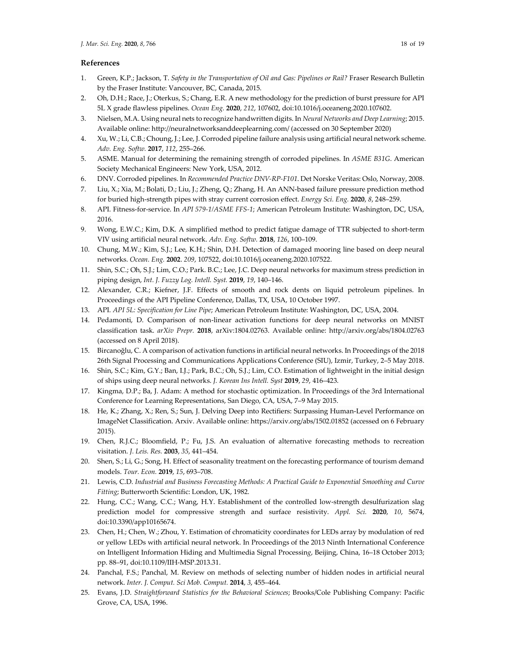## **References**

- 1. Green, K.P.; Jackson, T. *Safety in the Transportation of Oil and Gas: Pipelines or Rail?* Fraser Research Bulletin by the Fraser Institute: Vancouver, BC, Canada, 2015.
- 2. Oh, D.H.; Race, J.; Oterkus, S.; Chang, E.R. A new methodology for the prediction of burst pressure for API 5L X grade flawless pipelines. *Ocean Eng.* **2020**, *212*, 107602, doi:10.1016/j.oceaneng.2020.107602.
- 3. Nielsen, M.A. Using neural nets to recognize handwritten digits. In *Neural Networks and Deep Learning*; 2015. Available online: http://neuralnetworksanddeeplearning.com/ (accessed on 30 September 2020)
- 4. Xu, W.; Li, C.B.; Choung, J.; Lee, J. Corroded pipeline failure analysis using artificial neural network scheme. *Adv. Eng. Softw.* **2017**, *112*, 255–266.
- 5. ASME. Manual for determining the remaining strength of corroded pipelines. In *ASME B31G*. American Society Mechanical Engineers: New York, USA, 2012.
- 6. DNV. Corroded pipelines. In *Recommended Practice DNV-RP-F101*. Det Norske Veritas: Oslo, Norway, 2008.
- 7. Liu, X.; Xia, M.; Bolati, D.; Liu, J.; Zheng, Q.; Zhang, H. An ANN‐based failure pressure prediction method for buried high‐strength pipes with stray current corrosion effect. *Energy Sci. Eng.* **2020**, *8*, 248–259.
- 8. API. Fitness‐for‐service. In *API 579-1/ASME FFS-1*; American Petroleum Institute: Washington, DC, USA, 2016.
- 9. Wong, E.W.C.; Kim, D.K. A simplified method to predict fatigue damage of TTR subjected to short-term VIV using artificial neural network. *Adv. Eng. Softw.* **2018**, *126*, 100–109.
- 10. Chung, M.W.; Kim, S.J.; Lee, K.H.; Shin, D.H. Detection of damaged mooring line based on deep neural networks. *Ocean. Eng.* **2002**. *209*, 107522, doi:10.1016/j.oceaneng.2020.107522.
- 11. Shin, S.C.; Oh, S.J.; Lim, C.O.; Park. B.C.; Lee, J.C. Deep neural networks for maximum stress prediction in piping design, *Int. J. Fuzzy Log. Intell. Syst.* **2019**, *19*, 140–146.
- 12. Alexander, C.R.; Kiefner, J.F. Effects of smooth and rock dents on liquid petroleum pipelines. In Proceedings of the API Pipeline Conference, Dallas, TX, USA, 10 October 1997.
- 13. API. *API 5L: Specification for Line Pipe*; American Petroleum Institute: Washington, DC, USA, 2004.
- 14. Pedamonti, D. Comparison of non‐linear activation functions for deep neural networks on MNIST classification task. *arXiv Prepr.* **2018**, arXiv:1804.02763. Available online: http://arxiv.org/abs/1804.02763 (accessed on 8 April 2018).
- 15. Bircanoğlu, C. A comparison of activation functions in artificial neural networks. In Proceedings of the 2018 26th Signal Processing and Communications Applications Conference (SIU), Izmir, Turkey, 2–5 May 2018.
- 16. Shin, S.C.; Kim, G.Y.; Ban, I.J.; Park, B.C.; Oh, S.J.; Lim, C.O. Estimation of lightweight in the initial design of ships using deep neural networks. *J. Korean Ins Intell. Syst* **2019**, *29*, 416–423.
- 17. Kingma, D.P.; Ba, J. Adam: A method for stochastic optimization. In Proceedings of the 3rd International Conference for Learning Representations, San Diego, CA, USA, 7–9 May 2015.
- 18. He, K.; Zhang, X.; Ren, S.; Sun, J. Delving Deep into Rectifiers: Surpassing Human‐Level Performance on ImageNet Classification. Arxiv. Available online: https://arxiv.org/abs/1502.01852 (accessed on 6 February 2015).
- 19. Chen, R.J.C.; Bloomfield, P.; Fu, J.S. An evaluation of alternative forecasting methods to recreation visitation. *J. Leis. Res.* **2003**, *35*, 441–454.
- 20. Shen, S.; Li, G.; Song, H. Effect of seasonality treatment on the forecasting performance of tourism demand models. *Tour. Econ.* **2019**, *15*, 693–708.
- 21. Lewis, C.D. *Industrial and Business Forecasting Methods: A Practical Guide to Exponential Smoothing and Curve Fitting*; Butterworth Scientific: London, UK, 1982.
- 22. Hung, C.C.; Wang, C.C.; Wang, H.Y. Establishment of the controlled low-strength desulfurization slag prediction model for compressive strength and surface resistivity. *Appl. Sci.* **2020**, *10*, 5674, doi:10.3390/app10165674.
- 23. Chen, H.; Chen, W.; Zhou, Y. Estimation of chromaticity coordinates for LEDs array by modulation of red or yellow LEDs with artificial neural network. In Proceedings of the 2013 Ninth International Conference on Intelligent Information Hiding and Multimedia Signal Processin*g*, Beijing, China, 16–18 October 2013; pp. 88–91, doi:10.1109/IIH‐MSP.2013.31.
- 24. Panchal, F.S.; Panchal, M. Review on methods of selecting number of hidden nodes in artificial neural network. *Inter. J. Comput. Sci Mob. Comput.* **2014**, *3*, 455–464.
- 25. Evans, J.D. *Straightforward Statistics for the Behavioral Sciences*; Brooks/Cole Publishing Company: Pacific Grove, CA, USA, 1996.